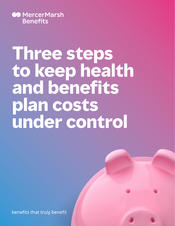

# **Three steps to keep health and benefits plan costs under control**

benefits that truly benefit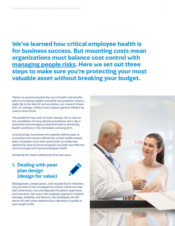**We've learned how critical employee health is for business success. But mounting costs mean organizations must balance cost control with [managing people risks.](https://www.mercer.ca/en/our-thinking/health/mmb-managing-risks-for-workforce-and-business-resilience.html) Here we set out three steps to make sure you're protecting your most valuable asset without breaking your budget.**

There's no questioning that the cost of health and benefits plans is increasing rapidly. And while the pandemic meant a slight dip to the level of cost escalation, our research shows that, on average, medical costs outpace general inflation by close to three times.

The pandemic may mean an even sharper rise in costs as the cancellation of many elective procedures and a dip in preventive and emergency treatment lead to worsening health conditions in the immediate and long term.

Unsurprisingly, businesses are urgently seeking ways to economize and improve efficiencies in their health-related plans. Employers must take quick action to modernize, optimizing value to ensure programs are both cost-effective and encourage and improve employee health.

Achieving this means addressing three key areas:

#### **1. Dealing with poor plan design (design for value)**



Misdiagnoses, complications, and hospital-borne infections are just some of the consequences of poor initial care that add unnecessary cost and degrade the patient experience and outcomes. Not only is the employer paying for medical wastage, disability, and absence, but employees are left worse off, with some experiencing a decrease in quality or even length of life.

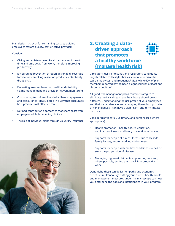Plan design is crucial for containing costs by guiding employees toward quality, cost-effective providers.

#### Consider:

- Giving immediate access like virtual care avoids wait time and time away from work, therefore improving productivity.
- Encouraging prevention through design (e.g. coverage for vaccines, smoking cessation products, anti-obesity drugs etc.).
- Evaluating insurers based on health and disability claims management and provider network monitoring.
- Cost-sharing techniques like deductibles, co-payments and coinsurance (ideally tiered in a way that encourage best practice, cost effective care).
- Defined contribution approaches that share costs with employees while broadening choices.
- The role of individual plans through voluntary insurance.

### **2. Creating a datadriven approach that promotes a [healthy workforce](https://www.mercer.ca/en/our-thinking/health/mmb-managing-employee-health-and-safety.html)  [\(manage health risk\)](https://www.mercer.ca/en/our-thinking/health/mmb-managing-employee-health-and-safety.html)**

Circulatory, gastrointestinal, and respiratory conditions, largely related to lifestyle choices, continue to drive the top claims by cost and frequency.<sup>1</sup> Meanwhile 60% of plan members reported having been diagnosed with at least one chronic condition.2

All good risk management plans contain strategies to eliminate intrinsic threats, and healthcare should be no different. Understanding the risk profile of your employees and their dependents — and managing these through datadriven initiatives – can have a significant long-term impact on costs.

Consider (confidential, voluntary, and personalized where appropriate):

- Health promotion health culture, education, vaccinations, illness, and injury prevention initiatives.
- Supports for people at risk of illness due to lifestyle, family history, and/or working environment.
- Supports for people with medical conditions to halt or stem the progression of disease.
- Managing high-cost claimants optimizing care and, where possible, getting them back into productive work.

Done right, these can deliver empathy and economic benefits simultaneously. Putting your current health profile and management measures under the microscope can help you determine the gaps and inefficiencies in your program.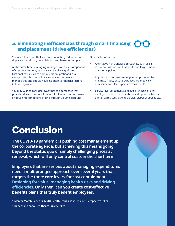#### **3. Eliminating inefficiencies through smart financing and placement (drive efficiencies)**

You need to ensure that you are eliminating redundant or duplicate benefits by consolidating and harmonizing plans.

At the same time, managing wastage is a critical component of cost containment, as plans can involve significant frictional costs such as administration, profit and risk charges. Your broker will use various techniques to manage this and should have insight into financial factors influencing rates.

You may wish to consider loyalty-based approaches that provide price concessions in return for longer contract terms or obtaining competitive pricing through volume discount.

Other solutions include:

- Alternative risk transfer approaches, such as selfinsurance, use of stop-loss limits and large amount/ durational polling.
- Adjudication and case-management protocols to minimize fraud, ensure expenses are medically necessary and claims paid are reasonable.
- Service level agreements and audits, which can often identify sources of fraud or abuse and opportunities for tighter claims controls (e.g. opioids, diabetic supplies etc.).

## **Conclusion**

**The COVID-19 pandemic is pushing cost management up the corporate agenda, but achieving this means going beyond the status quo of simply challenging prices at renewal, which will only control costs in the short term.**

**Employers that are serious about managing expenditures need a multipronged approach over several years that targets the three core levers for cost containment: Designing for value, managing health risks and driving efficiencies. Only then, can you create cost-effective benefits plans that truly benefit employees.**

**1. Mercer Marsh Benefits. MMB Health Trends: 2020 Insurer Perspective, 2020**

**2. Benefits Canada Healthcare Survey, 2021**